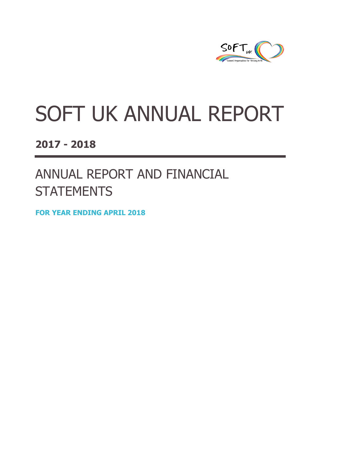

# SOFT UK ANNUAL REPORT

**2017 - 2018**

ANNUAL REPORT AND FINANCIAL **STATEMENTS** 

**FOR YEAR ENDING APRIL 2018**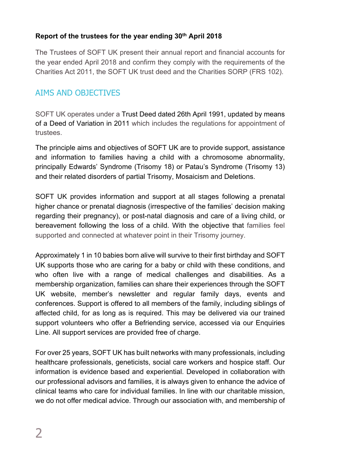## **Report of the trustees for the year ending 30th April 2018**

The Trustees of SOFT UK present their annual report and financial accounts for the year ended April 2018 and confirm they comply with the requirements of the Charities Act 2011, the SOFT UK trust deed and the Charities SORP (FRS 102).

## AIMS AND OBJECTIVES

SOFT UK operates under a Trust Deed dated 26th April 1991, updated by means of a Deed of Variation in 2011 which includes the regulations for appointment of trustees.

The principle aims and objectives of SOFT UK are to provide support, assistance and information to families having a child with a chromosome abnormality, principally Edwards' Syndrome (Trisomy 18) or Patau's Syndrome (Trisomy 13) and their related disorders of partial Trisomy, Mosaicism and Deletions.

SOFT UK provides information and support at all stages following a prenatal higher chance or prenatal diagnosis (irrespective of the families' decision making regarding their pregnancy), or post-natal diagnosis and care of a living child, or bereavement following the loss of a child. With the objective that families feel supported and connected at whatever point in their Trisomy journey.

Approximately 1 in 10 babies born alive will survive to their first birthday and SOFT UK supports those who are caring for a baby or child with these conditions, and who often live with a range of medical challenges and disabilities. As a membership organization, families can share their experiences through the SOFT UK website, member's newsletter and regular family days, events and conferences. Support is offered to all members of the family, including siblings of affected child, for as long as is required. This may be delivered via our trained support volunteers who offer a Befriending service, accessed via our Enquiries Line. All support services are provided free of charge.

For over 25 years, SOFT UK has built networks with many professionals, including healthcare professionals, geneticists, social care workers and hospice staff. Our information is evidence based and experiential. Developed in collaboration with our professional advisors and families, it is always given to enhance the advice of clinical teams who care for individual families. In line with our charitable mission, we do not offer medical advice. Through our association with, and membership of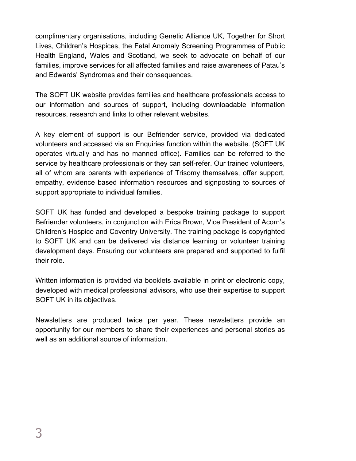complimentary organisations, including Genetic Alliance UK, Together for Short Lives, Children's Hospices, the Fetal Anomaly Screening Programmes of Public Health England, Wales and Scotland, we seek to advocate on behalf of our families, improve services for all affected families and raise awareness of Patau's and Edwards' Syndromes and their consequences.

The SOFT UK website provides families and healthcare professionals access to our information and sources of support, including downloadable information resources, research and links to other relevant websites.

A key element of support is our Befriender service, provided via dedicated volunteers and accessed via an Enquiries function within the website. (SOFT UK operates virtually and has no manned office). Families can be referred to the service by healthcare professionals or they can self-refer. Our trained volunteers, all of whom are parents with experience of Trisomy themselves, offer support, empathy, evidence based information resources and signposting to sources of support appropriate to individual families.

SOFT UK has funded and developed a bespoke training package to support Befriender volunteers, in conjunction with Erica Brown, Vice President of Acorn's Children's Hospice and Coventry University. The training package is copyrighted to SOFT UK and can be delivered via distance learning or volunteer training development days. Ensuring our volunteers are prepared and supported to fulfil their role.

Written information is provided via booklets available in print or electronic copy, developed with medical professional advisors, who use their expertise to support SOFT UK in its objectives.

Newsletters are produced twice per year. These newsletters provide an opportunity for our members to share their experiences and personal stories as well as an additional source of information.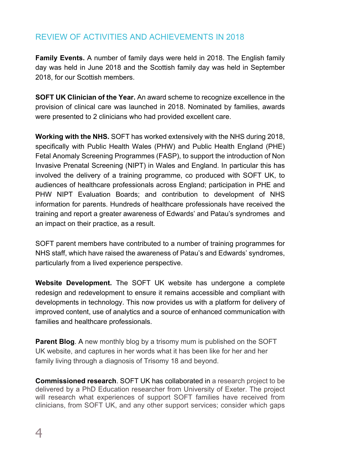# REVIEW OF ACTIVITIES AND ACHIEVEMENTS IN 2018

**Family Events.** A number of family days were held in 2018. The English family day was held in June 2018 and the Scottish family day was held in September 2018, for our Scottish members.

**SOFT UK Clinician of the Year.** An award scheme to recognize excellence in the provision of clinical care was launched in 2018. Nominated by families, awards were presented to 2 clinicians who had provided excellent care.

**Working with the NHS.** SOFT has worked extensively with the NHS during 2018, specifically with Public Health Wales (PHW) and Public Health England (PHE) Fetal Anomaly Screening Programmes (FASP), to support the introduction of Non Invasive Prenatal Screening (NIPT) in Wales and England. In particular this has involved the delivery of a training programme, co produced with SOFT UK, to audiences of healthcare professionals across England; participation in PHE and PHW NIPT Evaluation Boards; and contribution to development of NHS information for parents. Hundreds of healthcare professionals have received the training and report a greater awareness of Edwards' and Patau's syndromes and an impact on their practice, as a result.

SOFT parent members have contributed to a number of training programmes for NHS staff, which have raised the awareness of Patau's and Edwards' syndromes, particularly from a lived experience perspective.

**Website Development.** The SOFT UK website has undergone a complete redesign and redevelopment to ensure it remains accessible and compliant with developments in technology. This now provides us with a platform for delivery of improved content, use of analytics and a source of enhanced communication with families and healthcare professionals.

**Parent Blog.** A new monthly blog by a trisomy mum is published on the SOFT UK website, and captures in her words what it has been like for her and her family living through a diagnosis of Trisomy 18 and beyond.

**Commissioned research**. SOFT UK has collaborated in a research project to be delivered by a PhD Education researcher from University of Exeter. The project will research what experiences of support SOFT families have received from clinicians, from SOFT UK, and any other support services; consider which gaps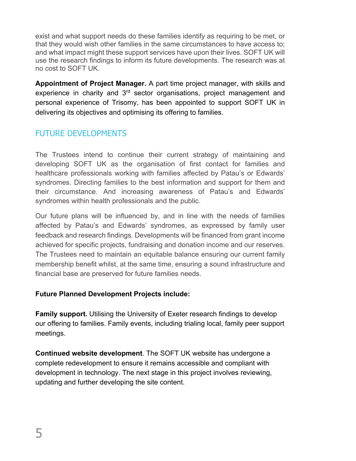exist and what support needs do these families identify as requiring to be met, or that they would wish other families in the same circumstances to have access to; and what impact might these support services have upon their lives. SOFT UK will use the research findings to inform its future developments. The research was at no cost to SOFT UK.

**Appointment of Project Manager.** A part time project manager, with skills and experience in charity and  $3<sup>rd</sup>$  sector organisations, project management and personal experience of Trisomy, has been appointed to support SOFT UK in delivering its objectives and optimising its offering to families.

# FUTURE DEVELOPMENTS

The Trustees intend to continue their current strategy of maintaining and developing SOFT UK as the organisation of first contact for families and healthcare professionals working with families affected by Patau's or Edwards' syndromes. Directing families to the best information and support for them and their circumstance. And increasing awareness of Patau's and Edwards' syndromes within health professionals and the public.

Our future plans will be influenced by, and in line with the needs of families affected by Patau's and Edwards' syndromes, as expressed by family user feedback and research findings. Developments will be financed from grant income achieved for specific projects, fundraising and donation income and our reserves. The Trustees need to maintain an equitable balance ensuring our current family membership benefit whilst, at the same time, ensuring a sound infrastructure and financial base are preserved for future families needs.

### **Future Planned Development Projects include:**

**Family support.** Utilising the University of Exeter research findings to develop our offering to families. Family events, including trialing local, family peer support meetings.

**Continued website development**. The SOFT UK website has undergone a complete redevelopment to ensure it remains accessible and compliant with development in technology. The next stage in this project involves reviewing, updating and further developing the site content.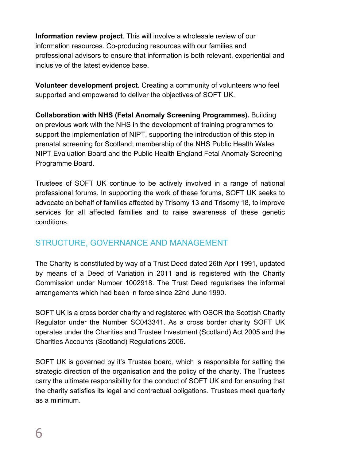**Information review project**. This will involve a wholesale review of our information resources. Co-producing resources with our families and professional advisors to ensure that information is both relevant, experiential and inclusive of the latest evidence base.

**Volunteer development project.** Creating a community of volunteers who feel supported and empowered to deliver the objectives of SOFT UK.

**Collaboration with NHS (Fetal Anomaly Screening Programmes).** Building on previous work with the NHS in the development of training programmes to support the implementation of NIPT, supporting the introduction of this step in prenatal screening for Scotland; membership of the NHS Public Health Wales NIPT Evaluation Board and the Public Health England Fetal Anomaly Screening Programme Board.

Trustees of SOFT UK continue to be actively involved in a range of national professional forums. In supporting the work of these forums, SOFT UK seeks to advocate on behalf of families affected by Trisomy 13 and Trisomy 18, to improve services for all affected families and to raise awareness of these genetic conditions.

# STRUCTURE, GOVERNANCE AND MANAGEMENT

The Charity is constituted by way of a Trust Deed dated 26th April 1991, updated by means of a Deed of Variation in 2011 and is registered with the Charity Commission under Number 1002918. The Trust Deed regularises the informal arrangements which had been in force since 22nd June 1990.

SOFT UK is a cross border charity and registered with OSCR the Scottish Charity Regulator under the Number SC043341. As a cross border charity SOFT UK operates under the Charities and Trustee Investment (Scotland) Act 2005 and the Charities Accounts (Scotland) Regulations 2006.

SOFT UK is governed by it's Trustee board, which is responsible for setting the strategic direction of the organisation and the policy of the charity. The Trustees carry the ultimate responsibility for the conduct of SOFT UK and for ensuring that the charity satisfies its legal and contractual obligations. Trustees meet quarterly as a minimum.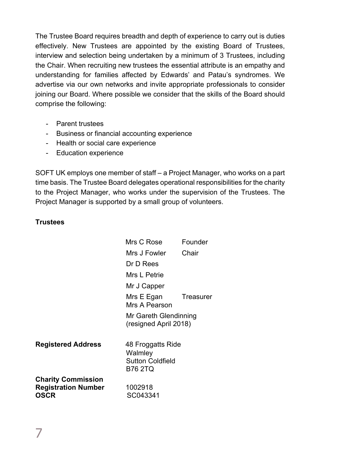The Trustee Board requires breadth and depth of experience to carry out is duties effectively. New Trustees are appointed by the existing Board of Trustees, interview and selection being undertaken by a minimum of 3 Trustees, including the Chair. When recruiting new trustees the essential attribute is an empathy and understanding for families affected by Edwards' and Patau's syndromes. We advertise via our own networks and invite appropriate professionals to consider joining our Board. Where possible we consider that the skills of the Board should comprise the following:

- Parent trustees
- Business or financial accounting experience
- Health or social care experience
- Education experience

SOFT UK employs one member of staff – a Project Manager, who works on a part time basis. The Trustee Board delegates operational responsibilities for the charity to the Project Manager, who works under the supervision of the Trustees. The Project Manager is supported by a small group of volunteers.

#### **Trustees**

|                                                                 | Mrs C Rose                                                                | Founder   |
|-----------------------------------------------------------------|---------------------------------------------------------------------------|-----------|
|                                                                 | Mrs J Fowler                                                              | Chair     |
|                                                                 | Dr D Rees                                                                 |           |
|                                                                 | Mrs L Petrie                                                              |           |
|                                                                 | Mr J Capper                                                               |           |
|                                                                 | Mrs E Egan<br>Mrs A Pearson                                               | Treasurer |
|                                                                 | Mr Gareth Glendinning<br>(resigned April 2018)                            |           |
| <b>Registered Address</b>                                       | 48 Froggatts Ride<br>Walmley<br><b>Sutton Coldfield</b><br><b>B76 2TQ</b> |           |
| <b>Charity Commission</b><br><b>Registration Number</b><br>OSCR | 1002918<br>SC043341                                                       |           |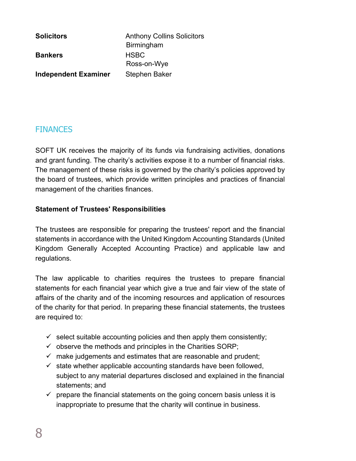**Solicitors Anthony Collins Solicitors** Birmingham **Bankers** HSBC Ross-on-Wye **Independent Examiner** Stephen Baker

# **FINANCES**

SOFT UK receives the majority of its funds via fundraising activities, donations and grant funding. The charity's activities expose it to a number of financial risks. The management of these risks is governed by the charity's policies approved by the board of trustees, which provide written principles and practices of financial management of the charities finances.

### **Statement of Trustees' Responsibilities**

The trustees are responsible for preparing the trustees' report and the financial statements in accordance with the United Kingdom Accounting Standards (United Kingdom Generally Accepted Accounting Practice) and applicable law and regulations.

The law applicable to charities requires the trustees to prepare financial statements for each financial year which give a true and fair view of the state of affairs of the charity and of the incoming resources and application of resources of the charity for that period. In preparing these financial statements, the trustees are required to:

- $\checkmark$  select suitable accounting policies and then apply them consistently;
- $\checkmark$  observe the methods and principles in the Charities SORP;
- $\checkmark$  make judgements and estimates that are reasonable and prudent;
- $\checkmark$  state whether applicable accounting standards have been followed, subject to any material departures disclosed and explained in the financial statements; and
- $\checkmark$  prepare the financial statements on the going concern basis unless it is inappropriate to presume that the charity will continue in business.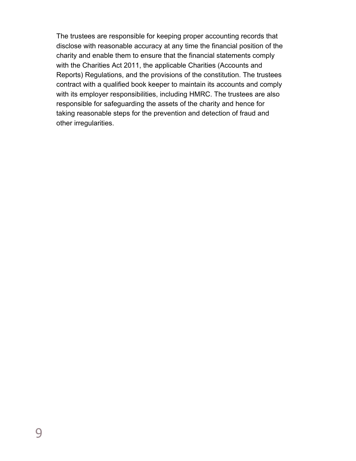The trustees are responsible for keeping proper accounting records that disclose with reasonable accuracy at any time the financial position of the charity and enable them to ensure that the financial statements comply with the Charities Act 2011, the applicable Charities (Accounts and Reports) Regulations, and the provisions of the constitution. The trustees contract with a qualified book keeper to maintain its accounts and comply with its employer responsibilities, including HMRC. The trustees are also responsible for safeguarding the assets of the charity and hence for taking reasonable steps for the prevention and detection of fraud and other irregularities.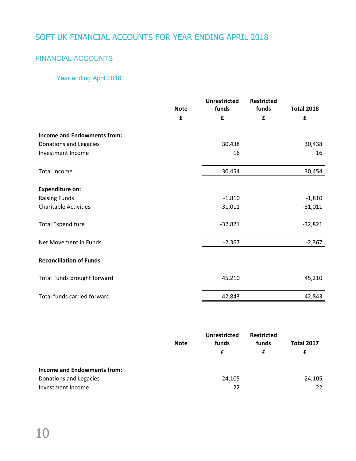# SOFT UK FINANCIAL ACCOUNTS FOR YEAR ENDING APRIL 2018

## FINANCIAL ACCOUNTS

## Year ending April 2018

|                                    | <b>Note</b> | <b>Unrestricted</b><br>funds | <b>Restricted</b><br>funds | <b>Total 2018</b> |
|------------------------------------|-------------|------------------------------|----------------------------|-------------------|
|                                    | £           | £                            | £                          | £                 |
| <b>Income and Endowments from:</b> |             |                              |                            |                   |
| Donations and Legacies             |             | 30,438                       |                            | 30,438            |
| Investment Income                  |             | 16                           |                            | 16                |
| <b>Total Income</b>                |             | 30,454                       |                            | 30,454            |
| <b>Expenditure on:</b>             |             |                              |                            |                   |
| <b>Raising Funds</b>               |             | $-1,810$                     |                            | $-1,810$          |
| <b>Charitable Activities</b>       |             | $-31,011$                    |                            | $-31,011$         |
| <b>Total Expenditure</b>           |             | $-32,821$                    |                            | $-32,821$         |
| Net Movement in Funds              |             | $-2,367$                     |                            | $-2,367$          |
| <b>Reconciliation of Funds</b>     |             |                              |                            |                   |
| Total Funds brought forward        |             | 45,210                       |                            | 45,210            |
| Total funds carried forward        |             | 42,843                       |                            | 42,843            |

|                             | <b>Note</b> | Unrestricted<br>funds | <b>Restricted</b><br>funds | <b>Total 2017</b> |
|-----------------------------|-------------|-----------------------|----------------------------|-------------------|
|                             |             | £                     |                            | £                 |
| Income and Endowments from: |             |                       |                            |                   |
| Donations and Legacies      |             | 24,105                |                            | 24,105            |
| Investment Income           |             | 22                    |                            | 22                |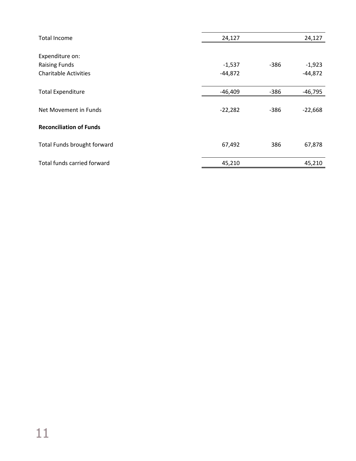| 24,127    |        | 24,127    |
|-----------|--------|-----------|
|           |        |           |
|           |        |           |
| $-1,537$  | -386   | $-1,923$  |
| $-44,872$ |        | $-44,872$ |
|           |        |           |
| $-46,409$ | $-386$ | $-46,795$ |
|           |        |           |
| $-22,282$ | $-386$ | $-22,668$ |
|           |        |           |
|           |        |           |
|           |        |           |
|           |        | 67,878    |
| 45,210    |        | 45,210    |
|           | 67,492 | 386       |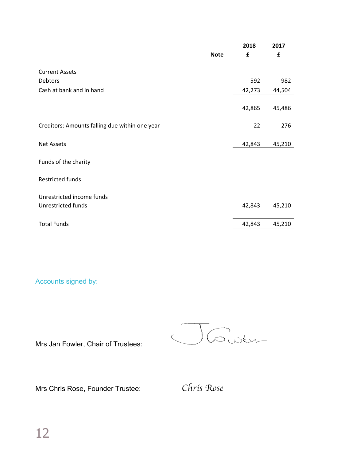|                                                | <b>Note</b> | 2018<br>£ | 2017<br>£ |
|------------------------------------------------|-------------|-----------|-----------|
|                                                |             |           |           |
| <b>Current Assets</b>                          |             |           |           |
| Debtors                                        |             | 592       | 982       |
| Cash at bank and in hand                       |             | 42,273    | 44,504    |
|                                                |             |           |           |
|                                                |             | 42,865    | 45,486    |
|                                                |             |           |           |
| Creditors: Amounts falling due within one year |             | $-22$     | $-276$    |
|                                                |             |           |           |
| <b>Net Assets</b>                              |             | 42,843    | 45,210    |
|                                                |             |           |           |
| Funds of the charity                           |             |           |           |
|                                                |             |           |           |
| <b>Restricted funds</b>                        |             |           |           |
|                                                |             |           |           |
| Unrestricted income funds                      |             |           |           |
| <b>Unrestricted funds</b>                      |             | 42,843    | 45,210    |
|                                                |             |           |           |
| <b>Total Funds</b>                             |             | 42,843    | 45,210    |

Accounts signed by:

Josen

Mrs Jan Fowler, Chair of Trustees:

Mrs Chris Rose, Founder Trustee: *Chris Rose*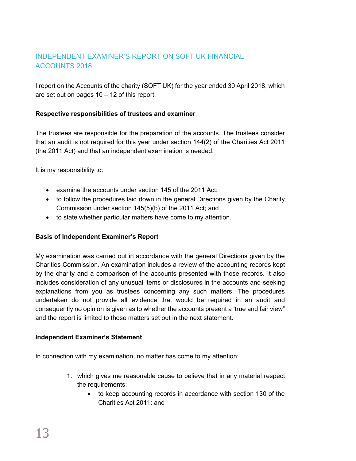## INDEPENDENT EXAMINER'S REPORT ON SOFT UK FINANCIAL ACCOUNTS 2018

I report on the Accounts of the charity (SOFT UK) for the year ended 30 April 2018, which are set out on pages 10 – 12 of this report.

#### **Respective responsibilities of trustees and examiner**

The trustees are responsible for the preparation of the accounts. The trustees consider that an audit is not required for this year under section 144(2) of the Charities Act 2011 (the 2011 Act) and that an independent examination is needed.

It is my responsibility to:

- examine the accounts under section 145 of the 2011 Act;
- to follow the procedures laid down in the general Directions given by the Charity Commission under section 145(5)(b) of the 2011 Act; and
- to state whether particular matters have come to my attention.

#### **Basis of Independent Examiner's Report**

My examination was carried out in accordance with the general Directions given by the Charities Commission. An examination includes a review of the accounting records kept by the charity and a comparison of the accounts presented with those records. It also includes consideration of any unusual items or disclosures in the accounts and seeking explanations from you as trustees concerning any such matters. The procedures undertaken do not provide all evidence that would be required in an audit and consequently no opinion is given as to whether the accounts present a 'true and fair view" and the report is limited to those matters set out in the next statement.

#### **Independent Examiner's Statement**

In connection with my examination, no matter has come to my attention:

- 1. which gives me reasonable cause to believe that in any material respect the requirements:
	- to keep accounting records in accordance with section 130 of the Charities Act 2011: and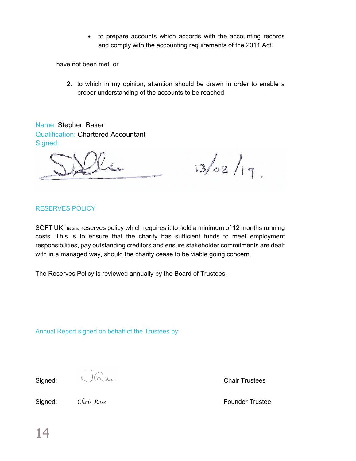• to prepare accounts which accords with the accounting records and comply with the accounting requirements of the 2011 Act.

have not been met; or

2. to which in my opinion, attention should be drawn in order to enable a proper understanding of the accounts to be reached.

Name: Stephen Baker Qualification: Chartered Accountant Signed:

 $13/02/19$ 

#### RESERVES POLICY

SOFT UK has a reserves policy which requires it to hold a minimum of 12 months running costs. This is to ensure that the charity has sufficient funds to meet employment responsibilities, pay outstanding creditors and ensure stakeholder commitments are dealt with in a managed way, should the charity cease to be viable going concern.

The Reserves Policy is reviewed annually by the Board of Trustees.

Annual Report signed on behalf of the Trustees by:

**Signed:** Chair Trustees

Signed: *Chris Rose* **Founder Trustee**